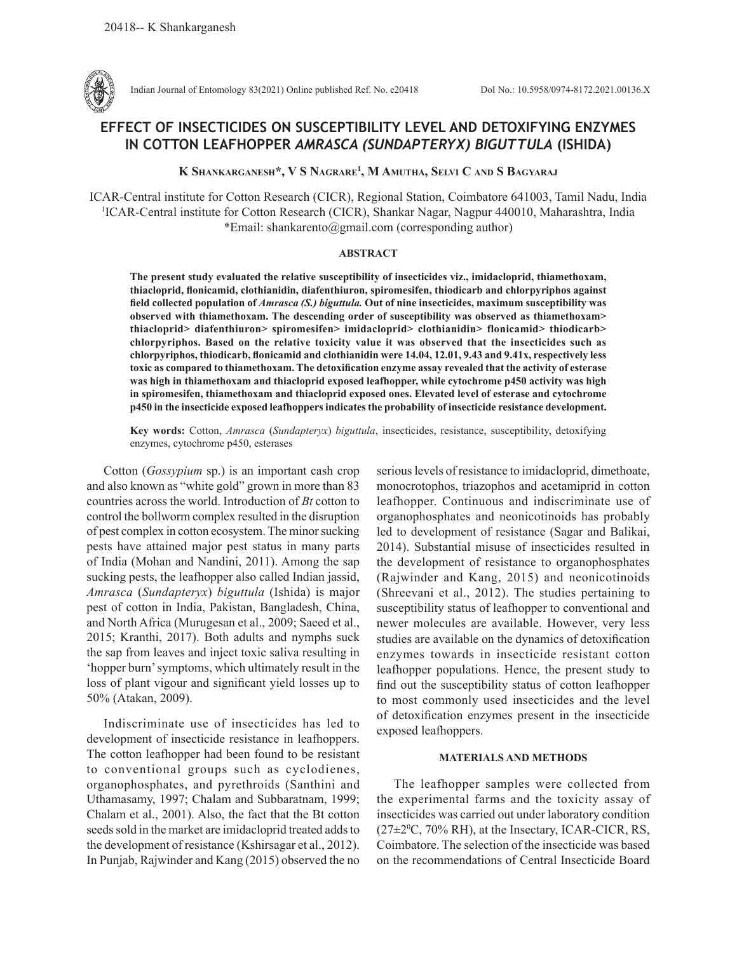

Indian Journal of Entomology 83(2021) Online published Ref. No. e20418 DoI No.: 10.5958/0974-8172.2021.00136.X

# **EFFECT OF INSECTICIDES ON SUSCEPTIBILITY LEVEL AND DETOXIFYING ENZYMES IN COTTON LEAFHOPPER** *AMRASCA (SUNDAPTERYX) BIGUTTULA* **(ISHIDA)**

**K Shankarganesh\*, V S Nagrare1 , M Amutha, Selvi C and S Bagyaraj**

ICAR-Central institute for Cotton Research (CICR), Regional Station, Coimbatore 641003, Tamil Nadu, India 1 ICAR-Central institute for Cotton Research (CICR), Shankar Nagar, Nagpur 440010, Maharashtra, India \*Email: shankarento@gmail.com (corresponding author)

## **ABSTRACT**

**The present study evaluated the relative susceptibility of insecticides viz., imidacloprid, thiamethoxam, thiacloprid, flonicamid, clothianidin, diafenthiuron, spiromesifen, thiodicarb and chlorpyriphos against field collected population of** *Amrasca (S.) biguttula.* **Out of nine insecticides, maximum susceptibility was observed with thiamethoxam. The descending order of susceptibility was observed as thiamethoxam> thiacloprid> diafenthiuron> spiromesifen> imidacloprid> clothianidin> flonicamid> thiodicarb> chlorpyriphos. Based on the relative toxicity value it was observed that the insecticides such as chlorpyriphos, thiodicarb, flonicamid and clothianidin were 14.04, 12.01, 9.43 and 9.41x, respectively less toxic as compared to thiamethoxam. The detoxification enzyme assay revealed that the activity of esterase was high in thiamethoxam and thiacloprid exposed leafhopper, while cytochrome p450 activity was high in spiromesifen, thiamethoxam and thiacloprid exposed ones. Elevated level of esterase and cytochrome p450 in the insecticide exposed leafhoppers indicates the probability of insecticide resistance development.** 

**Key words:** Cotton, *Amrasca* (*Sundapteryx*) *biguttula*, insecticides, resistance, susceptibility, detoxifying enzymes, cytochrome p450, esterases

Cotton (*Gossypium* sp.) is an important cash crop and also known as "white gold" grown in more than 83 countries across the world. Introduction of *Bt* cotton to control the bollworm complex resulted in the disruption of pest complex in cotton ecosystem. The minor sucking pests have attained major pest status in many parts of India (Mohan and Nandini, 2011). Among the sap sucking pests, the leafhopper also called Indian jassid, *Amrasca* (*Sundapteryx*) *biguttula* (Ishida) is major pest of cotton in India, Pakistan, Bangladesh, China, and North Africa (Murugesan et al., 2009; Saeed et al., 2015; Kranthi, 2017). Both adults and nymphs suck the sap from leaves and inject toxic saliva resulting in 'hopper burn' symptoms, which ultimately result in the loss of plant vigour and significant yield losses up to 50% (Atakan, 2009).

Indiscriminate use of insecticides has led to development of insecticide resistance in leafhoppers. The cotton leafhopper had been found to be resistant to conventional groups such as cyclodienes, organophosphates, and pyrethroids (Santhini and Uthamasamy, 1997; Chalam and Subbaratnam, 1999; Chalam et al., 2001). Also, the fact that the Bt cotton seeds sold in the market are imidacloprid treated adds to the development of resistance (Kshirsagar et al., 2012). In Punjab, Rajwinder and Kang (2015) observed the no

serious levels of resistance to imidacloprid, dimethoate, monocrotophos, triazophos and acetamiprid in cotton leafhopper. Continuous and indiscriminate use of organophosphates and neonicotinoids has probably led to development of resistance (Sagar and Balikai, 2014). Substantial misuse of insecticides resulted in the development of resistance to organophosphates (Rajwinder and Kang, 2015) and neonicotinoids (Shreevani et al., 2012). The studies pertaining to susceptibility status of leafhopper to conventional and newer molecules are available. However, very less studies are available on the dynamics of detoxification enzymes towards in insecticide resistant cotton leafhopper populations. Hence, the present study to find out the susceptibility status of cotton leafhopper to most commonly used insecticides and the level of detoxification enzymes present in the insecticide exposed leafhoppers.

## **MATERIALS AND METHODS**

The leafhopper samples were collected from the experimental farms and the toxicity assay of insecticides was carried out under laboratory condition  $(27 \pm 2^0C, 70\% \text{ RH})$ , at the Insectary, ICAR-CICR, RS, Coimbatore. The selection of the insecticide was based on the recommendations of Central Insecticide Board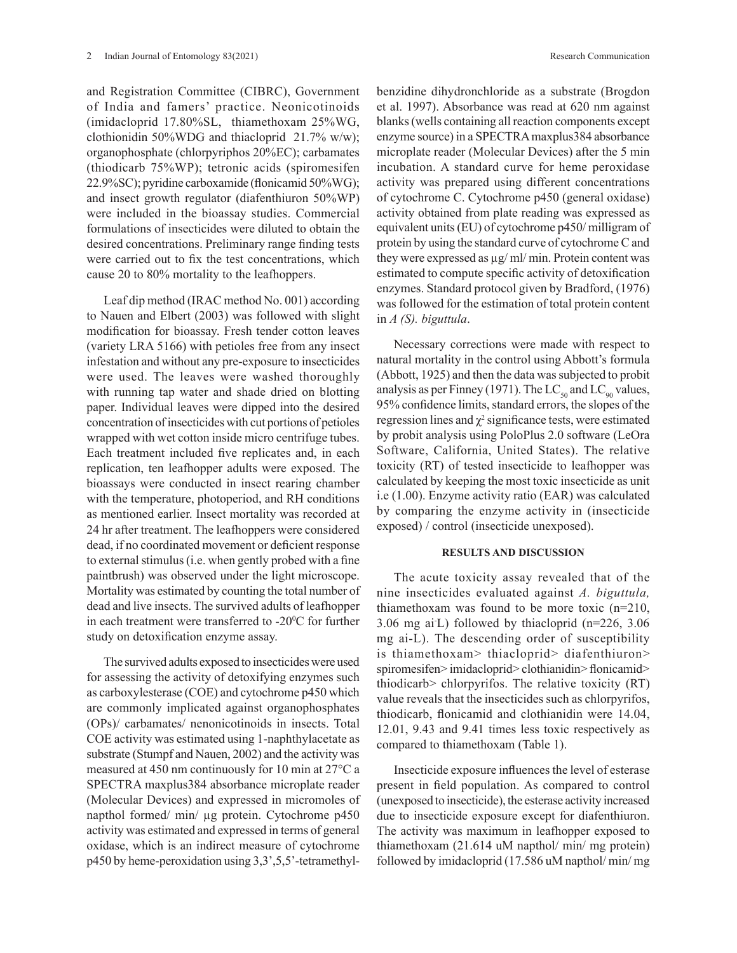and Registration Committee (CIBRC), Government of India and famers' practice. Neonicotinoids (imidacloprid 17.80%SL, thiamethoxam 25%WG, clothionidin 50%WDG and thiacloprid 21.7% w/w); organophosphate (chlorpyriphos 20%EC); carbamates (thiodicarb 75%WP); tetronic acids (spiromesifen 22.9%SC); pyridine carboxamide (flonicamid 50%WG); and insect growth regulator (diafenthiuron 50%WP) were included in the bioassay studies. Commercial formulations of insecticides were diluted to obtain the desired concentrations. Preliminary range finding tests were carried out to fix the test concentrations, which cause 20 to 80% mortality to the leafhoppers.

Leaf dip method (IRAC method No. 001) according to Nauen and Elbert (2003) was followed with slight modification for bioassay. Fresh tender cotton leaves (variety LRA 5166) with petioles free from any insect infestation and without any pre-exposure to insecticides were used. The leaves were washed thoroughly with running tap water and shade dried on blotting paper. Individual leaves were dipped into the desired concentration of insecticides with cut portions of petioles wrapped with wet cotton inside micro centrifuge tubes. Each treatment included five replicates and, in each replication, ten leafhopper adults were exposed. The bioassays were conducted in insect rearing chamber with the temperature, photoperiod, and RH conditions as mentioned earlier. Insect mortality was recorded at 24 hr after treatment. The leafhoppers were considered dead, if no coordinated movement or deficient response to external stimulus (i.e. when gently probed with a fine paintbrush) was observed under the light microscope. Mortality was estimated by counting the total number of dead and live insects. The survived adults of leafhopper in each treatment were transferred to -20<sup>o</sup>C for further study on detoxification enzyme assay.

The survived adults exposed to insecticides were used for assessing the activity of detoxifying enzymes such as carboxylesterase (COE) and cytochrome p450 which are commonly implicated against organophosphates (OPs)/ carbamates/ nenonicotinoids in insects. Total COE activity was estimated using 1-naphthylacetate as substrate (Stumpf and Nauen, 2002) and the activity was measured at 450 nm continuously for 10 min at 27°C a SPECTRA maxplus384 absorbance microplate reader (Molecular Devices) and expressed in micromoles of napthol formed/ min/ µg protein. Cytochrome p450 activity was estimated and expressed in terms of general oxidase, which is an indirect measure of cytochrome p450 by heme-peroxidation using 3,3',5,5'-tetramethylbenzidine dihydronchloride as a substrate (Brogdon et al. 1997). Absorbance was read at 620 nm against blanks (wells containing all reaction components except enzyme source) in a SPECTRA maxplus384 absorbance microplate reader (Molecular Devices) after the 5 min incubation. A standard curve for heme peroxidase activity was prepared using different concentrations of cytochrome C. Cytochrome p450 (general oxidase) activity obtained from plate reading was expressed as equivalent units (EU) of cytochrome p450/ milligram of protein by using the standard curve of cytochrome C and

they were expressed as µg/ ml/ min. Protein content was estimated to compute specific activity of detoxification enzymes. Standard protocol given by Bradford, (1976) was followed for the estimation of total protein content in *A (S). biguttula*.

Necessary corrections were made with respect to natural mortality in the control using Abbott's formula (Abbott, 1925) and then the data was subjected to probit analysis as per Finney (1971). The  $LC_{50}$  and  $LC_{90}$  values, 95% confidence limits, standard errors, the slopes of the regression lines and  $\chi^2$  significance tests, were estimated by probit analysis using PoloPlus 2.0 software (LeOra Software, California, United States). The relative toxicity (RT) of tested insecticide to leafhopper was calculated by keeping the most toxic insecticide as unit i.e (1.00). Enzyme activity ratio (EAR) was calculated by comparing the enzyme activity in (insecticide exposed) / control (insecticide unexposed).

### **RESULTS AND DISCUSSION**

The acute toxicity assay revealed that of the nine insecticides evaluated against *A. biguttula,*  thiamethoxam was found to be more toxic (n=210, 3.06 mg ai-L) followed by thiacloprid (n=226, 3.06 mg ai-L). The descending order of susceptibility is thiamethoxam> thiacloprid> diafenthiuron> spiromesifen> imidacloprid> clothianidin> flonicamid> thiodicarb> chlorpyrifos. The relative toxicity (RT) value reveals that the insecticides such as chlorpyrifos, thiodicarb, flonicamid and clothianidin were 14.04, 12.01, 9.43 and 9.41 times less toxic respectively as compared to thiamethoxam (Table 1).

Insecticide exposure influences the level of esterase present in field population. As compared to control (unexposed to insecticide), the esterase activity increased due to insecticide exposure except for diafenthiuron. The activity was maximum in leafhopper exposed to thiamethoxam (21.614 uM napthol/ min/ mg protein) followed by imidacloprid (17.586 uM napthol/ min/ mg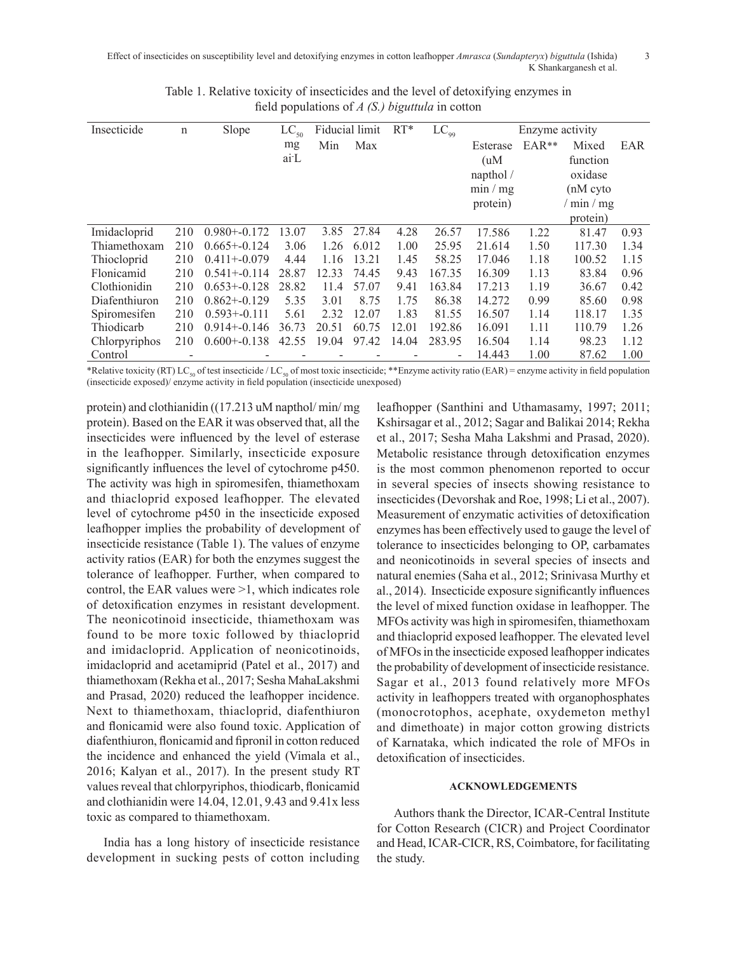Effect of insecticides on susceptibility level and detoxifying enzymes in cotton leafhopper *Amrasca* (*Sundapteryx*) *biguttula* (Ishida) 3 K Shankarganesh et al.

| Insecticide   | n   | Slope            | $LC_{50}$         | Fiducial limit |       | $RT*$ | $LC_{99}$                | Enzyme activity |         |            |      |
|---------------|-----|------------------|-------------------|----------------|-------|-------|--------------------------|-----------------|---------|------------|------|
|               |     |                  | mg                | Min            | Max   |       |                          | Esterase        | $EAR**$ | Mixed      | EAR  |
|               |     |                  | ai <sup>-</sup> L |                |       |       |                          | (uM)            |         | function   |      |
|               |     |                  |                   |                |       |       |                          | napthol /       |         | oxidase    |      |
|               |     |                  |                   |                |       |       |                          | min/mg          |         | $(nM$ cyto |      |
|               |     |                  |                   |                |       |       |                          | protein)        |         | min/mg     |      |
|               |     |                  |                   |                |       |       |                          |                 |         | protein)   |      |
| Imidacloprid  | 210 | $0.980 + 0.172$  | 13.07             | 3.85           | 27.84 | 4.28  | 26.57                    | 17.586          | 1.22    | 81.47      | 0.93 |
| Thiamethoxam  | 210 | $0.665 + 0.124$  | 3.06              | 1.26           | 6.012 | 1.00  | 25.95                    | 21.614          | 1.50    | 117.30     | 1.34 |
| Thiocloprid   | 210 | $0.411 + -0.079$ | 4.44              | 1.16           | 13.21 | 1.45  | 58.25                    | 17.046          | 1.18    | 100.52     | 1.15 |
| Flonicamid    | 210 | $0.541 + 0.114$  | 28.87             | 12.33          | 74.45 | 9.43  | 167.35                   | 16.309          | 1.13    | 83.84      | 0.96 |
| Clothionidin  | 210 | $0.653 + 0.128$  | 28.82             | 11.4           | 57.07 | 9.41  | 163.84                   | 17.213          | 1.19    | 36.67      | 0.42 |
| Diafenthiuron | 210 | $0.862 + 0.129$  | 5.35              | 3.01           | 8.75  | 1.75  | 86.38                    | 14.272          | 0.99    | 85.60      | 0.98 |
| Spiromesifen  | 210 | $0.593 + 0.111$  | 5.61              | 2.32           | 12.07 | 1.83  | 81.55                    | 16.507          | 1.14    | 118.17     | 1.35 |
| Thiodicarb    | 210 | $0.914 + 0.146$  | 36.73             | 20.51          | 60.75 | 12.01 | 192.86                   | 16.091          | 1.11    | 110.79     | 1.26 |
| Chlorpyriphos | 210 | $0.600 + 0.138$  | 42.55             | 19.04          | 97.42 | 14.04 | 283.95                   | 16.504          | 1.14    | 98.23      | 1.12 |
| Control       |     |                  |                   |                |       |       | $\overline{\phantom{a}}$ | 14.443          | 1.00    | 87.62      | 1.00 |

Table 1. Relative toxicity of insecticides and the level of detoxifying enzymes in field populations of *A (S.) biguttula* in cotton

\*Relative toxicity (RT) LC<sub>50</sub> of test insecticide / LC<sub>50</sub> of most toxic insecticide; \*\*Enzyme activity ratio (EAR) = enzyme activity in field population (insecticide exposed)/ enzyme activity in field population (insecticide unexposed)

protein) and clothianidin ((17.213 uM napthol/ min/ mg protein). Based on the EAR it was observed that, all the insecticides were influenced by the level of esterase in the leafhopper. Similarly, insecticide exposure significantly influences the level of cytochrome p450. The activity was high in spiromesifen, thiamethoxam and thiacloprid exposed leafhopper. The elevated level of cytochrome p450 in the insecticide exposed leafhopper implies the probability of development of insecticide resistance (Table 1). The values of enzyme activity ratios (EAR) for both the enzymes suggest the tolerance of leafhopper. Further, when compared to control, the EAR values were >1, which indicates role of detoxification enzymes in resistant development. The neonicotinoid insecticide, thiamethoxam was found to be more toxic followed by thiacloprid and imidacloprid. Application of neonicotinoids, imidacloprid and acetamiprid (Patel et al., 2017) and thiamethoxam (Rekha et al., 2017; Sesha MahaLakshmi and Prasad, 2020) reduced the leafhopper incidence. Next to thiamethoxam, thiacloprid, diafenthiuron and flonicamid were also found toxic. Application of diafenthiuron, flonicamid and fipronil in cotton reduced the incidence and enhanced the yield (Vimala et al., 2016; Kalyan et al., 2017). In the present study RT values reveal that chlorpyriphos, thiodicarb, flonicamid and clothianidin were 14.04, 12.01, 9.43 and 9.41x less toxic as compared to thiamethoxam.

India has a long history of insecticide resistance development in sucking pests of cotton including leafhopper (Santhini and Uthamasamy, 1997; 2011; Kshirsagar et al., 2012; Sagar and Balikai 2014; Rekha et al., 2017; Sesha Maha Lakshmi and Prasad, 2020). Metabolic resistance through detoxification enzymes is the most common phenomenon reported to occur in several species of insects showing resistance to insecticides (Devorshak and Roe, 1998; Li et al., 2007). Measurement of enzymatic activities of detoxification enzymes has been effectively used to gauge the level of tolerance to insecticides belonging to OP, carbamates and neonicotinoids in several species of insects and natural enemies (Saha et al., 2012; Srinivasa Murthy et al., 2014). Insecticide exposure significantly influences the level of mixed function oxidase in leafhopper. The MFOs activity was high in spiromesifen, thiamethoxam and thiacloprid exposed leafhopper. The elevated level of MFOs in the insecticide exposed leafhopper indicates the probability of development of insecticide resistance. Sagar et al., 2013 found relatively more MFOs activity in leafhoppers treated with organophosphates (monocrotophos, acephate, oxydemeton methyl and dimethoate) in major cotton growing districts of Karnataka, which indicated the role of MFOs in detoxification of insecticides.

## **ACKNOWLEDGEMENTS**

Authors thank the Director, ICAR-Central Institute for Cotton Research (CICR) and Project Coordinator and Head, ICAR-CICR, RS, Coimbatore, for facilitating the study.